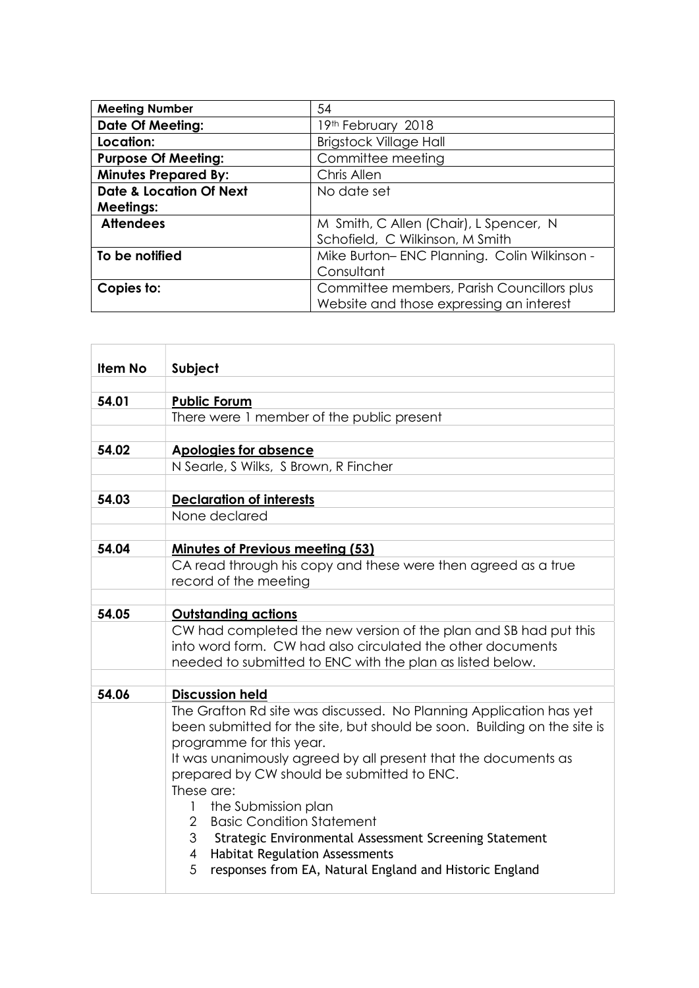| <b>Meeting Number</b>              | 54                                          |
|------------------------------------|---------------------------------------------|
| <b>Date Of Meeting:</b>            | 19th February 2018                          |
| Location:                          | <b>Brigstock Village Hall</b>               |
| <b>Purpose Of Meeting:</b>         | Committee meeting                           |
| <b>Minutes Prepared By:</b>        | Chris Allen                                 |
| <b>Date &amp; Location Of Next</b> | No date set                                 |
| <b>Meetings:</b>                   |                                             |
| <b>Attendees</b>                   | M Smith, C Allen (Chair), L Spencer, N      |
|                                    | Schofield, C Wilkinson, M Smith             |
| To be notified                     | Mike Burton-ENC Planning. Colin Wilkinson - |
|                                    | Consultant                                  |
| Copies to:                         | Committee members, Parish Councillors plus  |
|                                    | Website and those expressing an interest    |

| Item No | Subject                                                                                                                                                                    |
|---------|----------------------------------------------------------------------------------------------------------------------------------------------------------------------------|
|         |                                                                                                                                                                            |
| 54.01   | <b>Public Forum</b>                                                                                                                                                        |
|         | There were 1 member of the public present                                                                                                                                  |
|         |                                                                                                                                                                            |
| 54.02   | <b>Apologies for absence</b>                                                                                                                                               |
|         | N Searle, S Wilks, S Brown, R Fincher                                                                                                                                      |
|         |                                                                                                                                                                            |
| 54.03   | <b>Declaration of interests</b>                                                                                                                                            |
|         | None declared                                                                                                                                                              |
|         |                                                                                                                                                                            |
| 54.04   | <b>Minutes of Previous meeting (53)</b>                                                                                                                                    |
|         | CA read through his copy and these were then agreed as a true                                                                                                              |
|         | record of the meeting                                                                                                                                                      |
| 54.05   | <b>Outstanding actions</b>                                                                                                                                                 |
|         | CW had completed the new version of the plan and SB had put this<br>into word form. CW had also circulated the other documents                                             |
|         | needed to submitted to ENC with the plan as listed below.                                                                                                                  |
|         |                                                                                                                                                                            |
| 54.06   | <b>Discussion held</b>                                                                                                                                                     |
|         | The Grafton Rd site was discussed. No Planning Application has yet<br>been submitted for the site, but should be soon. Building on the site is<br>programme for this year. |
|         | It was unanimously agreed by all present that the documents as<br>prepared by CW should be submitted to ENC.<br>These are:                                                 |
|         | the Submission plan<br>1<br><b>Basic Condition Statement</b><br>2                                                                                                          |
|         | 3<br>Strategic Environmental Assessment Screening Statement                                                                                                                |
|         | <b>Habitat Regulation Assessments</b><br>$\overline{4}$                                                                                                                    |
|         | 5<br>responses from EA, Natural England and Historic England                                                                                                               |